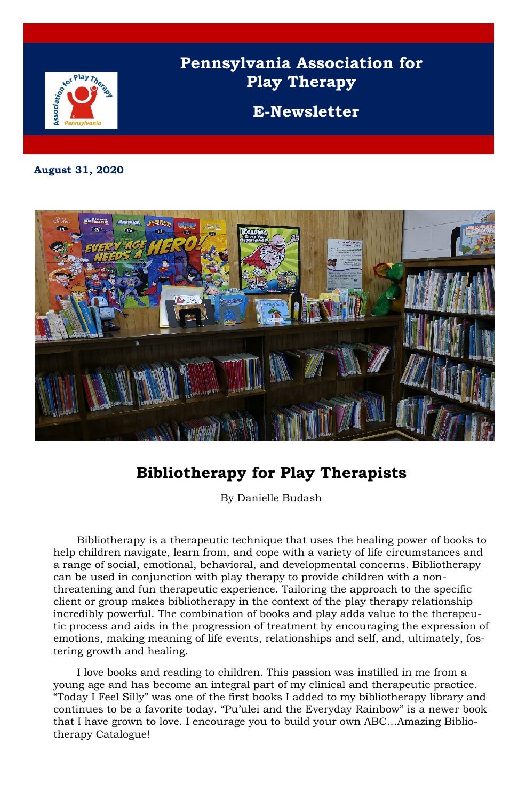

# **Pennsylvania Association for Play Therapy**

**E-Newsletter**

**August 31, 2020**



### **Bibliotherapy for Play Therapists**

By Danielle Budash

Bibliotherapy is a therapeutic technique that uses the healing power of books to help children navigate, learn from, and cope with a variety of life circumstances and a range of social, emotional, behavioral, and developmental concerns. Bibliotherapy can be used in conjunction with play therapy to provide children with a nonthreatening and fun therapeutic experience. Tailoring the approach to the specific client or group makes bibliotherapy in the context of the play therapy relationship incredibly powerful. The combination of books and play adds value to the therapeutic process and aids in the progression of treatment by encouraging the expression of emotions, making meaning of life events, relationships and self, and, ultimately, fostering growth and healing.

I love books and reading to children. This passion was instilled in me from a young age and has become an integral part of my clinical and therapeutic practice. "Today I Feel Silly" was one of the first books I added to my bibliotherapy library and continues to be a favorite today. "Pu'ulei and the Everyday Rainbow" is a newer book that I have grown to love. I encourage you to build your own ABC…Amazing Bibliotherapy Catalogue!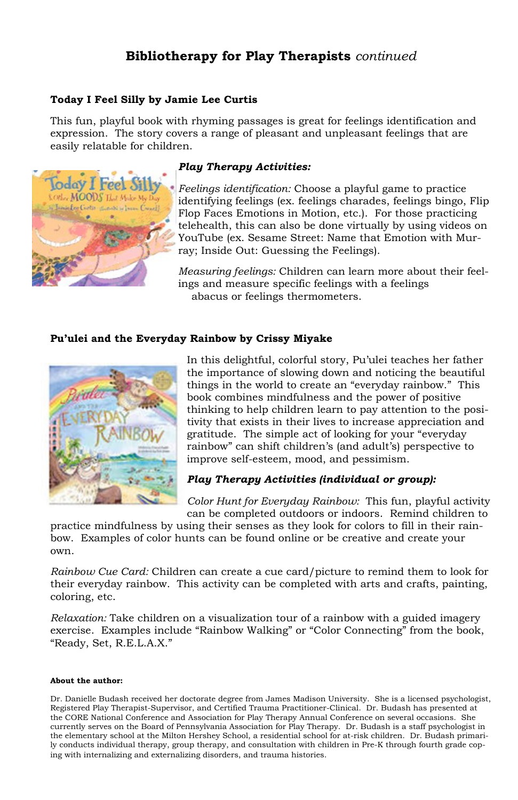### **Bibliotherapy for Play Therapists** *continued*

#### **Today I Feel Silly by Jamie Lee Curtis**

This fun, playful book with rhyming passages is great for feelings identification and expression. The story covers a range of pleasant and unpleasant feelings that are easily relatable for children.



### *Play Therapy Activities:*

*Feelings identification:* Choose a playful game to practice identifying feelings (ex. feelings charades, feelings bingo, Flip Flop Faces Emotions in Motion, etc.). For those practicing telehealth, this can also be done virtually by using videos on YouTube (ex. Sesame Street: Name that Emotion with Murray; Inside Out: Guessing the Feelings).

*Measuring feelings:* Children can learn more about their feelings and measure specific feelings with a feelings abacus or feelings thermometers.

### **Pu'ulei and the Everyday Rainbow by Crissy Miyake**



In this delightful, colorful story, Pu'ulei teaches her father the importance of slowing down and noticing the beautiful things in the world to create an "everyday rainbow." This book combines mindfulness and the power of positive thinking to help children learn to pay attention to the positivity that exists in their lives to increase appreciation and gratitude. The simple act of looking for your "everyday rainbow" can shift children's (and adult's) perspective to improve self-esteem, mood, and pessimism.

### *Play Therapy Activities (individual or group):*

*Color Hunt for Everyday Rainbow:* This fun, playful activity can be completed outdoors or indoors. Remind children to

practice mindfulness by using their senses as they look for colors to fill in their rainbow. Examples of color hunts can be found online or be creative and create your own.

*Rainbow Cue Card:* Children can create a cue card/picture to remind them to look for their everyday rainbow. This activity can be completed with arts and crafts, painting, coloring, etc.

*Relaxation:* Take children on a visualization tour of a rainbow with a guided imagery exercise. Examples include "Rainbow Walking" or "Color Connecting" from the book, "Ready, Set, R.E.L.A.X."

#### **About the author:**

Dr. Danielle Budash received her doctorate degree from James Madison University. She is a licensed psychologist, Registered Play Therapist-Supervisor, and Certified Trauma Practitioner-Clinical. Dr. Budash has presented at the CORE National Conference and Association for Play Therapy Annual Conference on several occasions. She currently serves on the Board of Pennsylvania Association for Play Therapy. Dr. Budash is a staff psychologist in the elementary school at the Milton Hershey School, a residential school for at-risk children. Dr. Budash primarily conducts individual therapy, group therapy, and consultation with children in Pre-K through fourth grade coping with internalizing and externalizing disorders, and trauma histories.